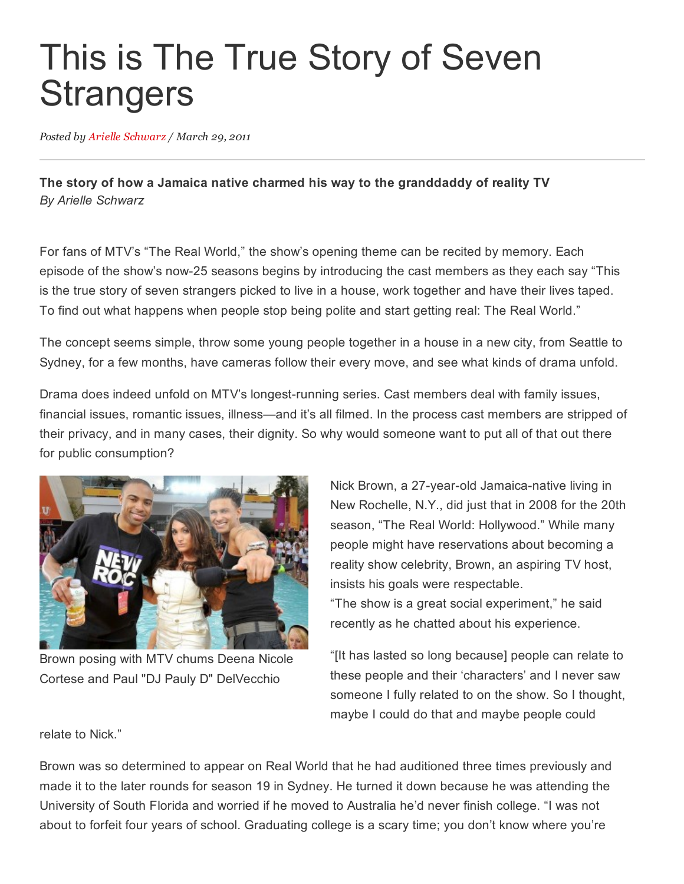## This is The True Story of Seven **Strangers**

Posted by Arielle [Schwarz](http://fameology.net/author/arielleschwarz/) / March 29, 2011

The story of how a Jamaica native charmed his way to the granddaddy of reality TV *By Arielle Schwarz*

For fans of MTV's "The Real World," the show's opening theme can be recited by memory. Each episode of the show's now25 seasons begins by introducing the cast members as they each say "This is the true story of seven strangers picked to live in a house, work together and have their lives taped. To find out what happens when people stop being polite and start getting real: The Real World."

The concept seems simple, throw some young people together in a house in a new city, from Seattle to Sydney, for a few months, have cameras follow their every move, and see what kinds of drama unfold.

Drama does indeed unfold on MTV's longest-running series. Cast members deal with family issues, financial issues, romantic issues, illness—and it's all filmed. In the process cast members are stripped of their privacy, and in many cases, their dignity. So why would someone want to put all of that out there for public consumption?



Brown posing with MTV chums Deena Nicole Cortese and Paul "DJ Pauly D" DelVecchio

Nick Brown, a 27-year-old Jamaica-native living in New Rochelle, N.Y., did just that in 2008 for the 20th season, "The Real World: Hollywood." While many people might have reservations about becoming a reality show celebrity, Brown, an aspiring TV host, insists his goals were respectable. "The show is a great social experiment," he said recently as he chatted about his experience.

"[It has lasted so long because] people can relate to these people and their 'characters' and I never saw someone I fully related to on the show. So I thought, maybe I could do that and maybe people could

relate to Nick."

Brown was so determined to appear on Real World that he had auditioned three times previously and made it to the later rounds for season 19 in Sydney. He turned it down because he was attending the University of South Florida and worried if he moved to Australia he'd never finish college. "I was not about to forfeit four years of school. Graduating college is a scary time; you don't know where you're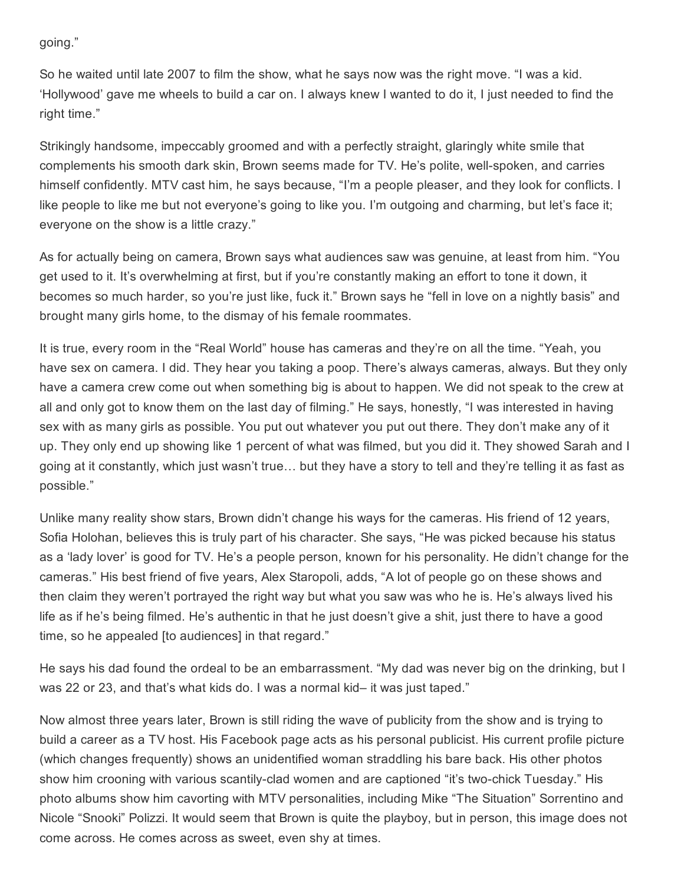going."

So he waited until late 2007 to film the show, what he says now was the right move. "I was a kid. 'Hollywood' gave me wheels to build a car on. I always knew I wanted to do it, I just needed to find the right time."

Strikingly handsome, impeccably groomed and with a perfectly straight, glaringly white smile that complements his smooth dark skin, Brown seems made for TV. He's polite, well-spoken, and carries himself confidently. MTV cast him, he says because, "I'm a people pleaser, and they look for conflicts. I like people to like me but not everyone's going to like you. I'm outgoing and charming, but let's face it; everyone on the show is a little crazy."

As for actually being on camera, Brown says what audiences saw was genuine, at least from him. "You get used to it. It's overwhelming at first, but if you're constantly making an effort to tone it down, it becomes so much harder, so you're just like, fuck it." Brown says he "fell in love on a nightly basis" and brought many girls home, to the dismay of his female roommates.

It is true, every room in the "Real World" house has cameras and they're on all the time. "Yeah, you have sex on camera. I did. They hear you taking a poop. There's always cameras, always. But they only have a camera crew come out when something big is about to happen. We did not speak to the crew at all and only got to know them on the last day of filming." He says, honestly, "I was interested in having sex with as many girls as possible. You put out whatever you put out there. They don't make any of it up. They only end up showing like 1 percent of what was filmed, but you did it. They showed Sarah and I going at it constantly, which just wasn't true… but they have a story to tell and they're telling it as fast as possible."

Unlike many reality show stars, Brown didn't change his ways for the cameras. His friend of 12 years, Sofia Holohan, believes this is truly part of his character. She says, "He was picked because his status as a 'lady lover' is good for TV. He's a people person, known for his personality. He didn't change for the cameras." His best friend of five years, Alex Staropoli, adds, "A lot of people go on these shows and then claim they weren't portrayed the right way but what you saw was who he is. He's always lived his life as if he's being filmed. He's authentic in that he just doesn't give a shit, just there to have a good time, so he appealed [to audiences] in that regard."

He says his dad found the ordeal to be an embarrassment. "My dad was never big on the drinking, but I was 22 or 23, and that's what kids do. I was a normal kid– it was just taped."

Now almost three years later, Brown is still riding the wave of publicity from the show and is trying to build a career as a TV host. His Facebook page acts as his personal publicist. His current profile picture (which changes frequently) shows an unidentified woman straddling his bare back. His other photos show him crooning with various scantily-clad women and are captioned "it's two-chick Tuesday." His photo albums show him cavorting with MTV personalities, including Mike "The Situation" Sorrentino and Nicole "Snooki" Polizzi. It would seem that Brown is quite the playboy, but in person, this image does not come across. He comes across as sweet, even shy at times.